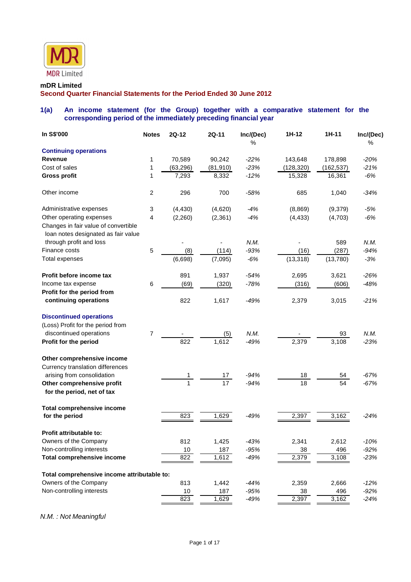

# **mDR Limited**

**Second Quarter Financial Statements for the Period Ended 30 June 2012**

#### **1(a) An income statement (for the Group) together with a comparative statement for the corresponding period of the immediately preceding financial year**

| In S\$'000                                                                                                                                               | <b>Notes</b>   | 2Q-12             | 2Q-11        | Inc/(Dec)<br>%   | 1H-12      | 1H-11          | Inc/(Dec)<br>%   |
|----------------------------------------------------------------------------------------------------------------------------------------------------------|----------------|-------------------|--------------|------------------|------------|----------------|------------------|
| <b>Continuing operations</b>                                                                                                                             |                |                   |              |                  |            |                |                  |
| Revenue                                                                                                                                                  | 1              | 70,589            | 90,242       | $-22%$           | 143,648    | 178,898        | $-20%$           |
| Cost of sales                                                                                                                                            | 1              | (63, 296)         | (81, 910)    | $-23%$           | (128, 320) | (162, 537)     | $-21%$           |
| <b>Gross profit</b>                                                                                                                                      | 1              | 7,293             | 8,332        | $-12%$           | 15,328     | 16,361         | $-6%$            |
| Other income                                                                                                                                             | $\overline{2}$ | 296               | 700          | $-58%$           | 685        | 1,040          | -34%             |
| Administrative expenses                                                                                                                                  | 3              | (4, 430)          | (4,620)      | $-4%$            | (8,869)    | (9,379)        | $-5%$            |
| Other operating expenses<br>Changes in fair value of convertible<br>loan notes designated as fair value<br>through profit and loss                       | 4              | (2,260)           | (2, 361)     | $-4%$<br>N.M.    | (4, 433)   | (4,703)<br>589 | $-6%$<br>N.M.    |
| Finance costs                                                                                                                                            | 5              | (8)               | (114)        | $-93%$           | (16)       | (287)          | $-94%$           |
| <b>Total expenses</b>                                                                                                                                    |                | (6,698)           | (7,095)      | $-6%$            | (13, 318)  | (13,780)       | $-3%$            |
| Profit before income tax                                                                                                                                 |                | 891               | 1,937        | $-54%$           | 2,695      | 3,621          | $-26%$           |
| Income tax expense                                                                                                                                       | 6              | (69)              | (320)        | $-78%$           | (316)      | (606)          | $-48%$           |
| Profit for the period from<br>continuing operations                                                                                                      |                | 822               | 1,617        | $-49%$           | 2,379      | 3,015          | $-21%$           |
| <b>Discontinued operations</b><br>(Loss) Profit for the period from<br>discontinued operations<br>Profit for the period                                  | $\overline{7}$ | 822               | (5)<br>1,612 | N.M.<br>$-49%$   | 2,379      | 93<br>3,108    | N.M.<br>$-23%$   |
| Other comprehensive income<br>Currency translation differences<br>arising from consolidation<br>Other comprehensive profit<br>for the period, net of tax |                | 1<br>$\mathbf{1}$ | 17<br>17     | $-94%$<br>$-94%$ | 18<br>18   | 54<br>54       | $-67%$<br>$-67%$ |
| <b>Total comprehensive income</b><br>for the period                                                                                                      |                | 823               | 1,629        | $-49%$           | 2,397      | 3,162          | $-24%$           |
| Profit attributable to:                                                                                                                                  |                |                   |              |                  |            |                |                  |
| Owners of the Company                                                                                                                                    |                | 812               | 1,425        | -43%             | 2,341      | 2,612          | -10%             |
| Non-controlling interests                                                                                                                                |                | 10                | 187          | $-95%$           | 38         | 496            | $-92%$           |
| <b>Total comprehensive income</b>                                                                                                                        |                | 822               | 1,612        | $-49%$           | 2,379      | 3,108          | $-23%$           |
| Total comprehensive income attributable to:                                                                                                              |                |                   |              |                  |            |                |                  |
| Owners of the Company                                                                                                                                    |                | 813               | 1,442        | -44%             | 2,359      | 2,666          | $-12%$           |
| Non-controlling interests                                                                                                                                |                | 10                | 187          | $-95%$           | 38         | 496            | $-92%$           |
|                                                                                                                                                          |                | 823               | 1,629        | $-49%$           | 2,397      | 3,162          | $-24%$           |

*N.M. : Not Meaningful*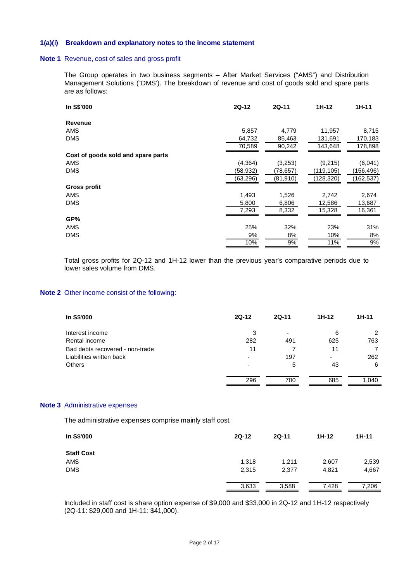# **1(a)(i) Breakdown and explanatory notes to the income statement**

# **Note 1** Revenue, cost of sales and gross profit

The Group operates in two business segments – After Market Services ("AMS") and Distribution Management Solutions ("DMS'). The breakdown of revenue and cost of goods sold and spare parts are as follows:

| In S\$'000                         | 2Q-12     | 2Q-11    | $1H-12$    | 1H-11      |
|------------------------------------|-----------|----------|------------|------------|
| Revenue                            |           |          |            |            |
| <b>AMS</b>                         | 5,857     | 4,779    | 11,957     | 8,715      |
| <b>DMS</b>                         | 64,732    | 85,463   | 131,691    | 170,183    |
|                                    | 70,589    | 90,242   | 143,648    | 178,898    |
| Cost of goods sold and spare parts |           |          |            |            |
| AMS                                | (4, 364)  | (3,253)  | (9,215)    | (6,041)    |
| <b>DMS</b>                         | (58,932)  | (78,657) | (119,105)  | (156, 496) |
|                                    | (63, 296) | (81,910) | (128, 320) | (162, 537) |
| <b>Gross profit</b>                |           |          |            |            |
| AMS                                | 1,493     | 1,526    | 2,742      | 2,674      |
| <b>DMS</b>                         | 5,800     | 6,806    | 12,586     | 13,687     |
|                                    | 7,293     | 8,332    | 15,328     | 16,361     |
| GP%                                |           |          |            |            |
| <b>AMS</b>                         | 25%       | 32%      | 23%        | 31%        |
| <b>DMS</b>                         | 9%        | 8%       | 10%        | 8%         |
|                                    | 10%       | 9%       | 11%        | 9%         |

Total gross profits for 2Q-12 and 1H-12 lower than the previous year's comparative periods due to lower sales volume from DMS.

# **Note 2** Other income consist of the following:

| In S\$'000                      | $2Q-12$ | $2Q-11$                  | $1H-12$                  | 1H-11 |
|---------------------------------|---------|--------------------------|--------------------------|-------|
| Interest income                 | 3       | $\overline{\phantom{a}}$ | 6                        | 2     |
| Rental income                   | 282     | 491                      | 625                      | 763   |
| Bad debts recovered - non-trade | 11      |                          | 11                       |       |
| Liabilities written back        | ٠       | 197                      | $\overline{\phantom{a}}$ | 262   |
| <b>Others</b>                   | ٠       | 5                        | 43                       | 6     |
|                                 |         |                          |                          |       |
|                                 | 296     | 700                      | 685                      | 1.040 |

#### **Note 3** Administrative expenses

The administrative expenses comprise mainly staff cost.

| In S\$'000        | $2Q-12$ | $2Q-11$ | $1H-12$ | $1H-11$ |
|-------------------|---------|---------|---------|---------|
| <b>Staff Cost</b> |         |         |         |         |
| AMS               | 1,318   | 1,211   | 2,607   | 2,539   |
| <b>DMS</b>        | 2,315   | 2,377   | 4,821   | 4,667   |
|                   | 3,633   | 3,588   | 7,428   | 7,206   |

Included in staff cost is share option expense of \$9,000 and \$33,000 in 2Q-12 and 1H-12 respectively (2Q-11: \$29,000 and 1H-11: \$41,000).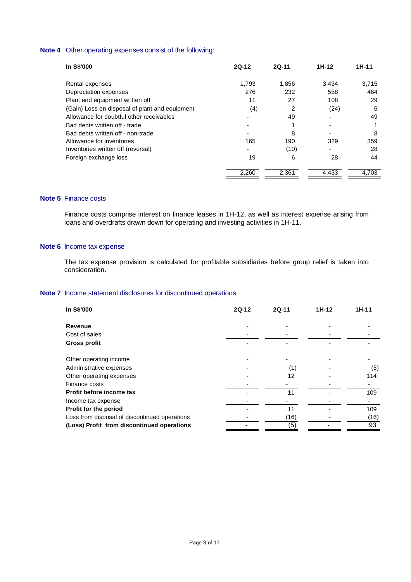# **Note 4** Other operating expenses consist of the following:

| In S\$'000                                     | $2Q-12$ | $2Q-11$ | $1H-12$        | 1H-11 |
|------------------------------------------------|---------|---------|----------------|-------|
| Rental expenses                                | 1,793   | 1,856   | 3,434          | 3,715 |
| Depreciation expenses                          | 276     | 232     | 558            | 464   |
| Plant and equipment written off                | 11      | 27      | 108            | 29    |
| (Gain) Loss on disposal of plant and equipment | (4)     | 2       | (24)           | 6     |
| Allowance for doubtful other receivables       |         | 49      | ٠              | 49    |
| Bad debts written off - trade                  |         |         | $\blacksquare$ |       |
| Bad debts written off - non-trade              |         | 8       |                | 8     |
| Allowance for inventories                      | 165     | 190     | 329            | 359   |
| Inventories written off (reversal)             |         | (10)    | ۰              | 28    |
| Foreign exchange loss                          | 19      | 6       | 28             | 44    |
|                                                | 2,260   | 2,361   | 4,433          | 4,703 |

### **Note 5** Finance costs

Finance costs comprise interest on finance leases in 1H-12, as well as interest expense arising from loans and overdrafts drawn down for operating and investing activities in 1H-11.

#### **Note 6** Income tax expense

The tax expense provision is calculated for profitable subsidiaries before group relief is taken into consideration.

#### **Note 7** Income statement disclosures for discontinued operations

| In S\$'000                                    | 2Q-12 | 2Q-11 | $1H-12$ | $1H-11$ |
|-----------------------------------------------|-------|-------|---------|---------|
| Revenue                                       |       |       |         |         |
| Cost of sales                                 |       |       |         |         |
| <b>Gross profit</b>                           |       |       |         |         |
| Other operating income                        |       |       |         |         |
| Administrative expenses                       |       | (1)   |         | (5)     |
| Other operating expenses                      |       | 12    |         | 114     |
| Finance costs                                 |       |       |         |         |
| Profit before income tax                      |       | 11    |         | 109     |
| Income tax expense                            |       |       |         |         |
| Profit for the period                         |       | 11    |         | 109     |
| Loss from disposal of discontinued operations |       | (16)  |         | (16)    |
| (Loss) Profit from discontinued operations    |       | (5)   |         | 93      |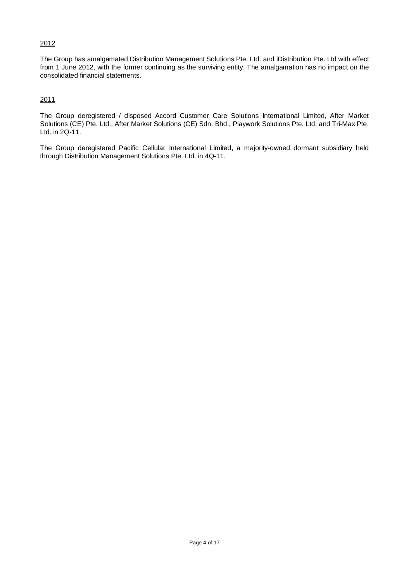# 2012

The Group has amalgamated Distribution Management Solutions Pte. Ltd. and iDistribution Pte. Ltd with effect from 1 June 2012, with the former continuing as the surviving entity. The amalgamation has no impact on the consolidated financial statements.

# 2011

The Group deregistered / disposed Accord Customer Care Solutions International Limited, After Market Solutions (CE) Pte. Ltd., After Market Solutions (CE) Sdn. Bhd., Playwork Solutions Pte. Ltd. and Tri-Max Pte. Ltd. in 2Q-11.

The Group deregistered Pacific Cellular International Limited, a majority-owned dormant subsidiary held through Distribution Management Solutions Pte. Ltd. in 4Q-11.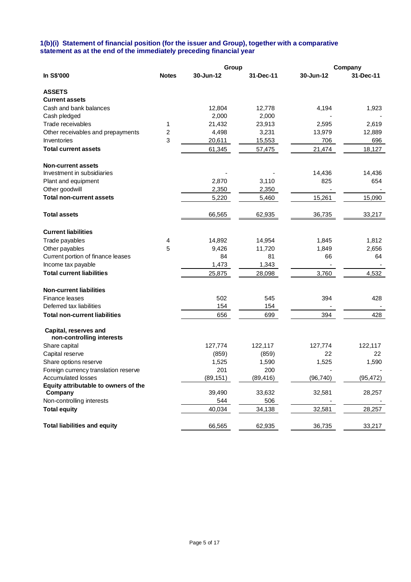### **1(b)(i) Statement of financial position (for the issuer and Group), together with a comparative statement as at the end of the immediately preceding financial year**

|                                                    |                | Group     |           |           | Company   |
|----------------------------------------------------|----------------|-----------|-----------|-----------|-----------|
| In S\$'000                                         | <b>Notes</b>   | 30-Jun-12 | 31-Dec-11 | 30-Jun-12 | 31-Dec-11 |
| <b>ASSETS</b>                                      |                |           |           |           |           |
| <b>Current assets</b>                              |                |           |           |           |           |
| Cash and bank balances                             |                | 12,804    | 12,778    | 4,194     | 1,923     |
| Cash pledged                                       |                | 2,000     | 2,000     |           |           |
| Trade receivables                                  | 1              | 21,432    | 23,913    | 2,595     | 2,619     |
| Other receivables and prepayments                  | $\overline{c}$ | 4,498     | 3,231     | 13,979    | 12,889    |
| Inventories                                        | 3              | 20,611    | 15,553    | 706       | 696       |
| <b>Total current assets</b>                        |                | 61,345    | 57,475    | 21,474    | 18,127    |
| <b>Non-current assets</b>                          |                |           |           |           |           |
| Investment in subsidiaries                         |                |           |           | 14,436    | 14,436    |
| Plant and equipment                                |                | 2,870     | 3,110     | 825       | 654       |
| Other goodwill                                     |                | 2,350     | 2,350     |           |           |
| <b>Total non-current assets</b>                    |                | 5,220     | 5,460     | 15,261    | 15,090    |
| <b>Total assets</b>                                |                | 66,565    | 62,935    | 36,735    | 33,217    |
| <b>Current liabilities</b>                         |                |           |           |           |           |
| Trade payables                                     | 4              | 14,892    | 14,954    | 1,845     | 1,812     |
| Other payables                                     | 5              | 9,426     | 11,720    | 1,849     | 2,656     |
| Current portion of finance leases                  |                | 84        | 81        | 66        | 64        |
| Income tax payable                                 |                | 1,473     | 1,343     |           |           |
| <b>Total current liabilities</b>                   |                | 25,875    | 28,098    | 3,760     | 4,532     |
| <b>Non-current liabilities</b>                     |                |           |           |           |           |
| Finance leases                                     |                | 502       | 545       | 394       | 428       |
| Deferred tax liabilities                           |                | 154       | 154       |           |           |
| <b>Total non-current liabilities</b>               |                | 656       | 699       | 394       | 428       |
| Capital, reserves and<br>non-controlling interests |                |           |           |           |           |
| Share capital                                      |                | 127,774   | 122,117   | 127,774   | 122,117   |
| Capital reserve                                    |                | (859)     | (859)     | 22        | 22        |
| Share options reserve                              |                | 1,525     | 1,590     | 1,525     | 1,590     |
| Foreign currency translation reserve               |                | 201       | 200       |           |           |
| <b>Accumulated losses</b>                          |                | (89, 151) | (89, 416) | (96, 740) | (95, 472) |
| Equity attributable to owners of the<br>Company    |                | 39,490    | 33,632    | 32,581    | 28,257    |
| Non-controlling interests                          |                | 544       | 506       |           |           |
| <b>Total equity</b>                                |                | 40,034    | 34,138    | 32,581    | 28,257    |
| <b>Total liabilities and equity</b>                |                | 66,565    | 62,935    | 36,735    | 33,217    |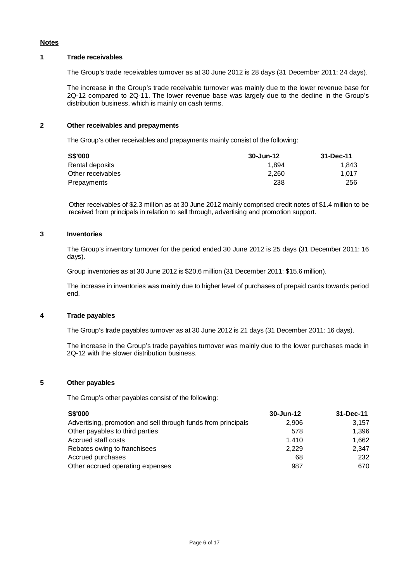# **Notes**

# **1 Trade receivables**

The Group's trade receivables turnover as at 30 June 2012 is 28 days (31 December 2011: 24 days).

The increase in the Group's trade receivable turnover was mainly due to the lower revenue base for 2Q-12 compared to 2Q-11. The lower revenue base was largely due to the decline in the Group's distribution business, which is mainly on cash terms.

# **2 Other receivables and prepayments**

The Group's other receivables and prepayments mainly consist of the following:

| <b>S\$'000</b>    | 30-Jun-12 | 31-Dec-11 |
|-------------------|-----------|-----------|
| Rental deposits   | 1.894     | 1.843     |
| Other receivables | 2.260     | 1.017     |
| Prepayments       | 238       | 256       |

Other receivables of \$2.3 million as at 30 June 2012 mainly comprised credit notes of \$1.4 million to be received from principals in relation to sell through, advertising and promotion support.

### **3 Inventories**

The Group's inventory turnover for the period ended 30 June 2012 is 25 days (31 December 2011: 16 days).

Group inventories as at 30 June 2012 is \$20.6 million (31 December 2011: \$15.6 million).

The increase in inventories was mainly due to higher level of purchases of prepaid cards towards period end.

#### **4 Trade payables**

The Group's trade payables turnover as at 30 June 2012 is 21 days (31 December 2011: 16 days).

The increase in the Group's trade payables turnover was mainly due to the lower purchases made in 2Q-12 with the slower distribution business.

### **5 Other payables**

The Group's other payables consist of the following:

| <b>S\$'000</b>                                                | 30-Jun-12 | 31-Dec-11 |
|---------------------------------------------------------------|-----------|-----------|
| Advertising, promotion and sell through funds from principals | 2,906     | 3.157     |
| Other payables to third parties                               | 578       | 1.396     |
| Accrued staff costs                                           | 1.410     | 1.662     |
| Rebates owing to franchisees                                  | 2.229     | 2.347     |
| Accrued purchases                                             | 68        | 232       |
| Other accrued operating expenses                              | 987       | 670       |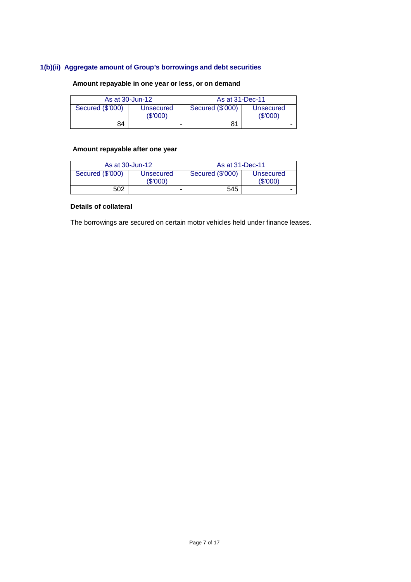# **1(b)(ii) Aggregate amount of Group's borrowings and debt securities**

# **Amount repayable in one year or less, or on demand**

| As at 30-Jun-12  |                       | As at 31-Dec-11  |                      |  |
|------------------|-----------------------|------------------|----------------------|--|
| Secured (\$'000) | Unsecured<br>(\$'000) | Secured (\$'000) | Unsecured<br>(S'000) |  |
| 84               | ۰                     | 81               | -                    |  |

# **Amount repayable after one year**

| As at $30 -$ Jun-12 |                       | As at 31-Dec-11  |                      |
|---------------------|-----------------------|------------------|----------------------|
| Secured (\$'000)    | Unsecured<br>(\$'000) | Secured (\$'000) | Unsecured<br>(S'000) |
| 502                 | -                     | 545              |                      |

# **Details of collateral**

The borrowings are secured on certain motor vehicles held under finance leases.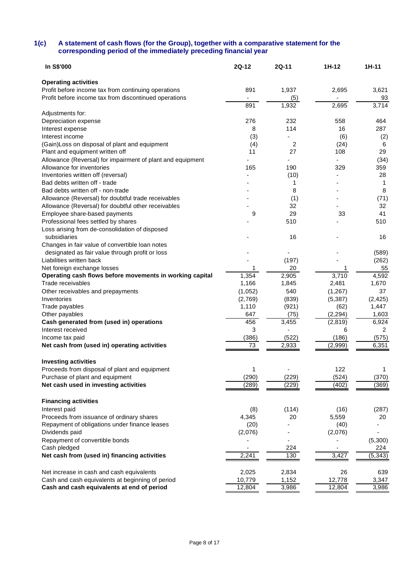#### **1(c) A statement of cash flows (for the Group), together with a comparative statement for the corresponding period of the immediately preceding financial year**

| In S\$'000                                                 | 2Q-12   | 2Q-11                   | 1H-12    | $1H-11$  |
|------------------------------------------------------------|---------|-------------------------|----------|----------|
| <b>Operating activities</b>                                |         |                         |          |          |
| Profit before income tax from continuing operations        | 891     | 1,937                   | 2,695    | 3,621    |
| Profit before income tax from discontinued operations      |         | (5)                     |          | 93       |
|                                                            | 891     | 1,932                   | 2,695    | 3,714    |
| Adjustments for:                                           |         |                         |          |          |
| Depreciation expense                                       | 276     | 232                     | 558      | 464      |
| Interest expense                                           | 8       | 114                     | 16       | 287      |
| Interest income                                            | (3)     | $\blacksquare$          | (6)      | (2)      |
| (Gain) Loss on disposal of plant and equipment             | (4)     | $\overline{\mathbf{c}}$ | (24)     | 6        |
| Plant and equipment written off                            | 11      | 27                      | 108      | 29       |
| Allowance (Reversal) for impairment of plant and equipment |         |                         |          | (34)     |
| Allowance for inventories                                  | 165     | 190                     | 329      | 359      |
| Inventories written off (reversal)                         |         | (10)                    |          | 28       |
| Bad debts written off - trade                              |         | 1                       |          | 1        |
| Bad debts written off - non-trade                          |         | 8                       |          | 8        |
| Allowance (Reversal) for doubtful trade receivables        |         | (1)                     |          | (71)     |
| Allowance (Reversal) for doubtful other receivables        |         | 32                      |          | 32       |
| Employee share-based payments                              | 9       | 29                      | 33       | 41       |
| Professional fees settled by shares                        |         | 510                     |          | 510      |
| Loss arising from de-consolidation of disposed             |         |                         |          |          |
| subsidiaries                                               |         | 16                      |          | 16       |
| Changes in fair value of convertible loan notes            |         |                         |          |          |
| designated as fair value through profit or loss            |         |                         |          | (589)    |
| Liabilities written back                                   |         | (197)                   |          | (262)    |
| Net foreign exchange losses                                | 1       | 20                      | 1        | 55       |
| Operating cash flows before movements in working capital   | 1,354   | 2,905                   | 3,710    | 4,592    |
| Trade receivables                                          | 1,166   | 1,845                   | 2,481    | 1,670    |
| Other receivables and prepayments                          | (1,052) | 540                     | (1, 267) | 37       |
| Inventories                                                | (2,769) | (839)                   | (5, 387) | (2, 425) |
| Trade payables                                             | 1,110   | (921)                   | (62)     | 1,447    |
| Other payables                                             | 647     | (75)                    | (2, 294) | 1,603    |
| Cash generated from (used in) operations                   | 456     | 3,455                   | (2,819)  | 6,924    |
| Interest received                                          | 3       |                         | 6        | 2        |
| Income tax paid                                            | (386)   | (522)                   | (186)    | (575)    |
| Net cash from (used in) operating activities               | 73      | 2,933                   | (2,999)  | 6,351    |
| <b>Investing activities</b>                                |         |                         |          |          |
| Proceeds from disposal of plant and equipment              | 1       |                         | 122      | 1        |
| Purchase of plant and equipment                            | (290)   | (229)                   | (524)    | (370)    |
| Net cash used in investing activities                      | (289)   | (229)                   | (402)    | (369)    |
|                                                            |         |                         |          |          |
| <b>Financing activities</b>                                |         |                         |          |          |
| Interest paid                                              | (8)     | (114)                   | (16)     | (287)    |
| Proceeds from issuance of ordinary shares                  | 4,345   | 20                      | 5,559    | 20       |
| Repayment of obligations under finance leases              | (20)    |                         | (40)     |          |
| Dividends paid                                             | (2,076) |                         | (2,076)  |          |
| Repayment of convertible bonds                             |         |                         |          | (5,300)  |
| Cash pledged                                               | ٠       | 224                     | ٠        | 224      |
| Net cash from (used in) financing activities               | 2,241   | 130                     | 3,427    | (5, 343) |
|                                                            |         |                         |          |          |
| Net increase in cash and cash equivalents                  | 2,025   | 2,834                   | 26       | 639      |
| Cash and cash equivalents at beginning of period           | 10,779  | 1,152                   | 12,778   | 3,347    |
| Cash and cash equivalents at end of period                 | 12,804  | 3,986                   | 12,804   | 3,986    |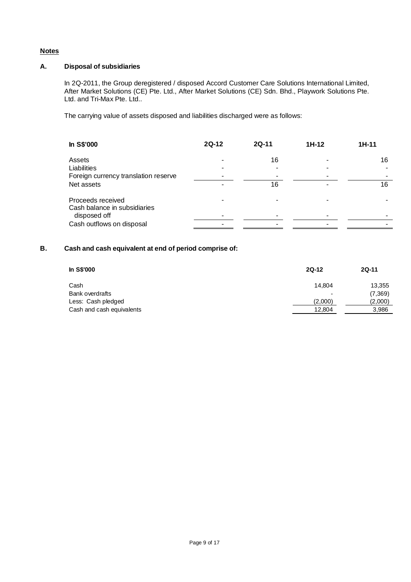# **Notes**

# **A. Disposal of subsidiaries**

In 2Q-2011, the Group deregistered / disposed Accord Customer Care Solutions International Limited, After Market Solutions (CE) Pte. Ltd., After Market Solutions (CE) Sdn. Bhd., Playwork Solutions Pte. Ltd. and Tri-Max Pte. Ltd..

The carrying value of assets disposed and liabilities discharged were as follows:

| In S\$'000                                        | $2Q-12$ | $2Q-11$ | $1H-12$ | $1H-11$ |
|---------------------------------------------------|---------|---------|---------|---------|
| Assets                                            |         | 16      |         | 16      |
| Liabilities                                       |         |         |         |         |
| Foreign currency translation reserve              |         |         |         |         |
| Net assets                                        |         | 16      |         | 16      |
| Proceeds received<br>Cash balance in subsidiaries |         |         |         |         |
| disposed off                                      |         |         |         |         |
| Cash outflows on disposal                         |         |         |         |         |

# **B. Cash and cash equivalent at end of period comprise of:**

| In S\$'000                | <b>2Q-12</b> | <b>2Q-11</b> |
|---------------------------|--------------|--------------|
| Cash                      | 14.804       | 13,355       |
| Bank overdrafts           | -            | (7, 369)     |
| Less: Cash pledged        | (2,000)      | (2,000)      |
| Cash and cash equivalents | 12,804       | 3,986        |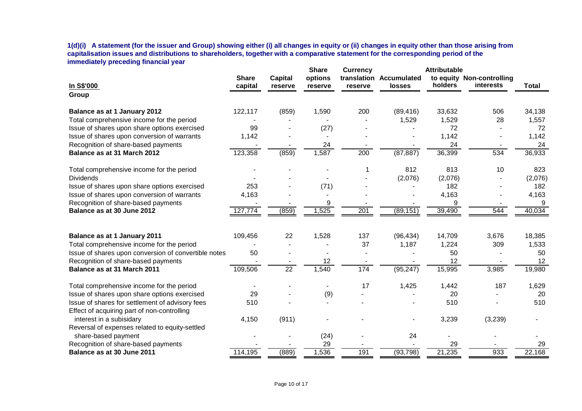**1(d)(i) A statement (for the issuer and Group) showing either (i) all changes in equity or (ii) changes in equity other than those arising from capitalisation issues and distributions to shareholders, together with a comparative statement for the corresponding period of the immediately preceding financial year**

|                                                      | <b>Share</b><br><b>Attributable</b><br><b>Currency</b> |                 |                |         |                         |         |                           |              |
|------------------------------------------------------|--------------------------------------------------------|-----------------|----------------|---------|-------------------------|---------|---------------------------|--------------|
|                                                      | <b>Share</b>                                           | <b>Capital</b>  | options        |         | translation Accumulated |         | to equity Non-controlling |              |
| In S\$'000                                           | capital                                                | reserve         | reserve        | reserve | losses                  | holders | interests                 | <b>Total</b> |
| Group                                                |                                                        |                 |                |         |                         |         |                           |              |
| Balance as at 1 January 2012                         | 122,117                                                | (859)           | 1,590          | 200     | (89, 416)               | 33,632  | 506                       | 34,138       |
| Total comprehensive income for the period            |                                                        |                 |                |         | 1,529                   | 1,529   | 28                        | 1,557        |
| Issue of shares upon share options exercised         | 99                                                     |                 | (27)           |         |                         | 72      |                           | 72           |
| Issue of shares upon conversion of warrants          | 1,142                                                  |                 |                |         |                         | 1,142   |                           | 1,142        |
| Recognition of share-based payments                  |                                                        |                 | 24             |         |                         | 24      |                           | 24           |
| Balance as at 31 March 2012                          | 123,358                                                | (859)           | 1,587          | 200     | (87, 887)               | 36,399  | 534                       | 36,933       |
| Total comprehensive income for the period            |                                                        |                 |                | -1      | 812                     | 813     | 10                        | 823          |
| <b>Dividends</b>                                     |                                                        |                 |                |         | (2,076)                 | (2,076) |                           | (2,076)      |
| Issue of shares upon share options exercised         | 253                                                    |                 | (71)           |         |                         | 182     |                           | 182          |
| Issue of shares upon conversion of warrants          | 4,163                                                  |                 |                |         |                         | 4,163   |                           | 4,163        |
| Recognition of share-based payments                  |                                                        |                 | 9              |         |                         | 9       |                           | 9            |
| Balance as at 30 June 2012                           | 127,774                                                | (859)           | 1,525          | 201     | (89, 151)               | 39,490  | 544                       | 40,034       |
| Balance as at 1 January 2011                         | 109,456                                                | 22              | 1,528          | 137     | (96, 434)               | 14,709  | 3,676                     | 18,385       |
| Total comprehensive income for the period            |                                                        |                 |                | 37      | 1,187                   | 1,224   | 309                       | 1,533        |
| Issue of shares upon conversion of convertible notes | 50                                                     |                 |                |         |                         | 50      |                           | 50           |
| Recognition of share-based payments                  |                                                        |                 | 12             |         |                         | 12      |                           | 12           |
| Balance as at 31 March 2011                          | 109,506                                                | $\overline{22}$ | 1,540          | 174     | (95, 247)               | 15,995  | 3,985                     | 19,980       |
| Total comprehensive income for the period            |                                                        |                 | $\blacksquare$ | 17      | 1,425                   | 1,442   | 187                       | 1,629        |
| Issue of shares upon share options exercised         | 29                                                     |                 | (9)            |         |                         | 20      |                           | 20           |
| Issue of shares for settlement of advisory fees      | 510                                                    |                 |                |         |                         | 510     |                           | 510          |
| Effect of acquiring part of non-controlling          |                                                        |                 |                |         |                         |         |                           |              |
| interest in a subisidary                             | 4,150                                                  | (911)           |                |         |                         | 3,239   | (3,239)                   |              |
| Reversal of expenses related to equity-settled       |                                                        |                 |                |         |                         |         |                           |              |
| share-based payment                                  |                                                        |                 | (24)           |         | 24                      |         |                           |              |
| Recognition of share-based payments                  |                                                        |                 | 29             |         |                         | 29      |                           | 29           |
| Balance as at 30 June 2011                           | 114,195                                                | (889)           | 1,536          | 191     | (93, 798)               | 21,235  | 933                       | 22,168       |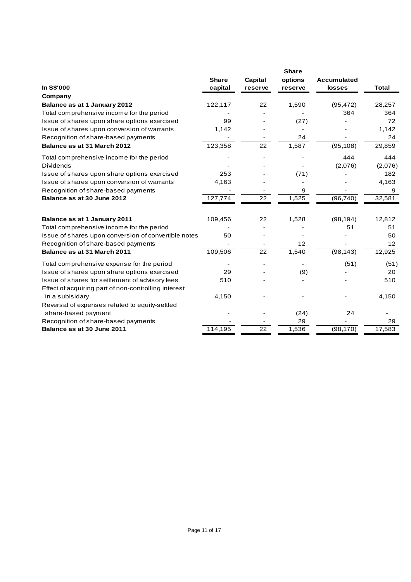| <b>In S\$'000</b>                                    | <b>Share</b><br>capital | Capital<br>reserve | <b>Share</b><br>options<br>reserve | <b>Accumulated</b><br><b>losses</b> | <b>Total</b>    |
|------------------------------------------------------|-------------------------|--------------------|------------------------------------|-------------------------------------|-----------------|
| Company                                              |                         |                    |                                    |                                     |                 |
| Balance as at 1 January 2012                         | 122,117                 | 22                 | 1,590                              | (95, 472)                           | 28,257          |
| Total comprehensive income for the period            |                         |                    |                                    | 364                                 | 364             |
| Issue of shares upon share options exercised         | 99                      |                    | (27)                               |                                     | 72              |
| Issue of shares upon conversion of warrants          | 1,142                   |                    |                                    |                                     | 1,142           |
| Recognition of share-based payments                  |                         |                    | 24                                 |                                     | 24              |
| Balance as at 31 March 2012                          | 123,358                 | 22                 | 1,587                              | (95, 108)                           | 29,859          |
| Total comprehensive income for the period            |                         |                    |                                    | 444                                 | 444             |
| <b>Dividends</b>                                     |                         |                    |                                    | (2,076)                             | (2,076)         |
| Issue of shares upon share options exercised         | 253                     |                    | (71)                               |                                     | 182             |
| Issue of shares upon conversion of warrants          | 4,163                   |                    |                                    |                                     | 4,163           |
| Recognition of share-based payments                  |                         |                    | 9                                  |                                     | 9               |
| Balance as at 30 June 2012                           | 127,774                 | 22                 | 1,525                              | (96, 740)                           | 32,581          |
|                                                      |                         |                    |                                    |                                     |                 |
| Balance as at 1 January 2011                         | 109,456                 | 22                 | 1,528                              | (98, 194)                           | 12,812          |
| Total comprehensive income for the period            |                         |                    |                                    | 51                                  | 51              |
| Issue of shares upon conversion of convertible notes | 50                      |                    |                                    |                                     | 50              |
| Recognition of share-based payments                  |                         |                    | 12                                 |                                     | 12 <sup>2</sup> |
| Balance as at 31 March 2011                          | 109,506                 | 22                 | 1,540                              | (98, 143)                           | 12,925          |
| Total comprehensive expense for the period           |                         |                    |                                    | (51)                                | (51)            |
| Issue of shares upon share options exercised         | 29                      |                    | (9)                                |                                     | 20              |
| Issue of shares for settlement of advisory fees      | 510                     |                    |                                    |                                     | 510             |
| Effect of acquiring part of non-controlling interest |                         |                    |                                    |                                     |                 |
| in a subisidary                                      | 4,150                   |                    |                                    |                                     | 4,150           |
| Reversal of expenses related to equity-settled       |                         |                    |                                    |                                     |                 |
| share-based payment                                  |                         |                    | (24)                               | 24                                  |                 |
| Recognition of share-based payments                  |                         |                    | 29                                 |                                     | 29              |
| Balance as at 30 June 2011                           | 114, 195                | 22                 | 1,536                              | (98, 170)                           | 17,583          |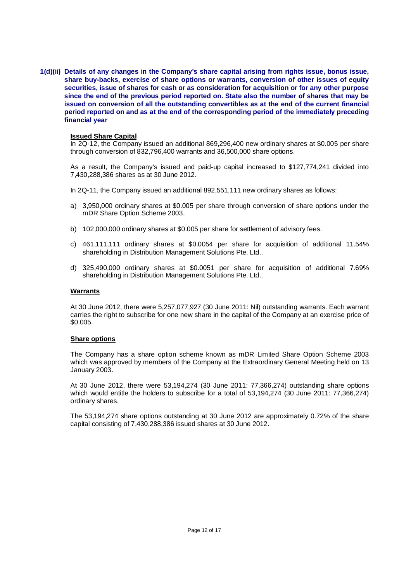**1(d)(ii) Details of any changes in the Company's share capital arising from rights issue, bonus issue, share buy-backs, exercise of share options or warrants, conversion of other issues of equity securities, issue of shares for cash or as consideration for acquisition or for any other purpose since the end of the previous period reported on. State also the number of shares that may be issued on conversion of all the outstanding convertibles as at the end of the current financial period reported on and as at the end of the corresponding period of the immediately preceding financial year**

#### **Issued Share Capital**

In 2Q-12, the Company issued an additional 869,296,400 new ordinary shares at \$0.005 per share through conversion of 832,796,400 warrants and 36,500,000 share options.

As a result, the Company's issued and paid-up capital increased to \$127,774,241 divided into 7,430,288,386 shares as at 30 June 2012.

In 2Q-11, the Company issued an additional 892,551,111 new ordinary shares as follows:

- a) 3,950,000 ordinary shares at \$0.005 per share through conversion of share options under the mDR Share Option Scheme 2003.
- b) 102,000,000 ordinary shares at \$0.005 per share for settlement of advisory fees.
- c) 461,111,111 ordinary shares at \$0.0054 per share for acquisition of additional 11.54% shareholding in Distribution Management Solutions Pte. Ltd..
- d) 325,490,000 ordinary shares at \$0.0051 per share for acquisition of additional 7.69% shareholding in Distribution Management Solutions Pte. Ltd..

#### **Warrants**

At 30 June 2012, there were 5,257,077,927 (30 June 2011: Nil) outstanding warrants. Each warrant carries the right to subscribe for one new share in the capital of the Company at an exercise price of \$0.005.

# **Share options**

The Company has a share option scheme known as mDR Limited Share Option Scheme 2003 which was approved by members of the Company at the Extraordinary General Meeting held on 13 January 2003.

At 30 June 2012, there were 53,194,274 (30 June 2011: 77,366,274) outstanding share options which would entitle the holders to subscribe for a total of 53,194,274 (30 June 2011: 77,366,274) ordinary shares.

The 53,194,274 share options outstanding at 30 June 2012 are approximately 0.72% of the share capital consisting of 7,430,288,386 issued shares at 30 June 2012.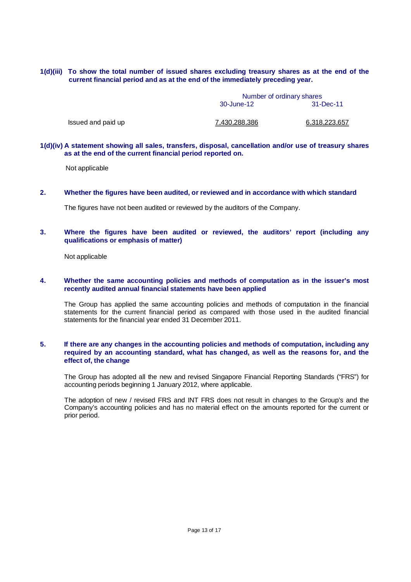# **1(d)(iii) To show the total number of issued shares excluding treasury shares as at the end of the current financial period and as at the end of the immediately preceding year.**

Number of ordinary shares 30-June-12 31-Dec-11

Issued and paid up 7,430,288,386 6,318,223,657

#### **1(d)(iv) A statement showing all sales, transfers, disposal, cancellation and/or use of treasury shares as at the end of the current financial period reported on.**

Not applicable

#### **2. Whether the figures have been audited, or reviewed and in accordance with which standard**

The figures have not been audited or reviewed by the auditors of the Company.

#### **3. Where the figures have been audited or reviewed, the auditors' report (including any qualifications or emphasis of matter)**

Not applicable

#### **4. Whether the same accounting policies and methods of computation as in the issuer's most recently audited annual financial statements have been applied**

The Group has applied the same accounting policies and methods of computation in the financial statements for the current financial period as compared with those used in the audited financial statements for the financial year ended 31 December 2011.

### **5. If there are any changes in the accounting policies and methods of computation, including any required by an accounting standard, what has changed, as well as the reasons for, and the effect of, the change**

The Group has adopted all the new and revised Singapore Financial Reporting Standards ("FRS") for accounting periods beginning 1 January 2012, where applicable.

The adoption of new / revised FRS and INT FRS does not result in changes to the Group's and the Company's accounting policies and has no material effect on the amounts reported for the current or prior period.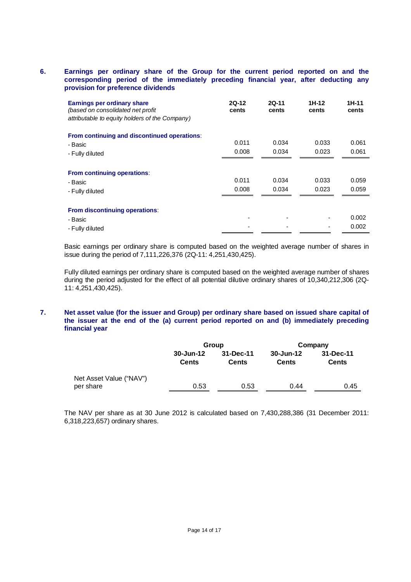# **6. Earnings per ordinary share of the Group for the current period reported on and the corresponding period of the immediately preceding financial year, after deducting any provision for preference dividends**

| <b>Earnings per ordinary share</b><br>(based on consolidated net profit)<br>attributable to equity holders of the Company) | $2Q-12$<br>cents | $2Q-11$<br>cents | 1H-12<br>cents | 1H-11<br>cents |
|----------------------------------------------------------------------------------------------------------------------------|------------------|------------------|----------------|----------------|
| From continuing and discontinued operations:                                                                               |                  |                  |                |                |
| - Basic                                                                                                                    | 0.011            | 0.034            | 0.033          | 0.061          |
| - Fully diluted                                                                                                            | 0.008            | 0.034            | 0.023          | 0.061          |
|                                                                                                                            |                  |                  |                |                |
| From continuing operations:                                                                                                |                  |                  |                |                |
| - Basic                                                                                                                    | 0.011            | 0.034            | 0.033          | 0.059          |
| - Fully diluted                                                                                                            | 0.008            | 0.034            | 0.023          | 0.059          |
|                                                                                                                            |                  |                  |                |                |
| From discontinuing operations:                                                                                             |                  |                  |                |                |
| - Basic                                                                                                                    |                  |                  |                | 0.002          |
| - Fully diluted                                                                                                            |                  |                  |                | 0.002          |

Basic earnings per ordinary share is computed based on the weighted average number of shares in issue during the period of 7,111,226,376 (2Q-11: 4,251,430,425).

Fully diluted earnings per ordinary share is computed based on the weighted average number of shares during the period adjusted for the effect of all potential dilutive ordinary shares of 10,340,212,306 (2Q-11: 4,251,430,425).

# **7. Net asset value (for the issuer and Group) per ordinary share based on issued share capital of the issuer at the end of the (a) current period reported on and (b) immediately preceding financial year**

|                         |                           | Group                     | Company                   |                           |  |
|-------------------------|---------------------------|---------------------------|---------------------------|---------------------------|--|
|                         | 30-Jun-12<br><b>Cents</b> | 31-Dec-11<br><b>Cents</b> | 30-Jun-12<br><b>Cents</b> | 31-Dec-11<br><b>Cents</b> |  |
| Net Asset Value ("NAV") |                           |                           |                           |                           |  |
| per share               | 0.53                      | 0.53                      | 0.44                      | 0.45                      |  |

The NAV per share as at 30 June 2012 is calculated based on 7,430,288,386 (31 December 2011: 6,318,223,657) ordinary shares.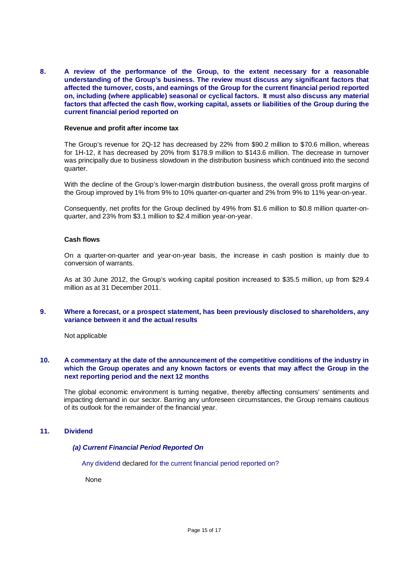**8. A review of the performance of the Group, to the extent necessary for a reasonable understanding of the Group's business. The review must discuss any significant factors that affected the turnover, costs, and earnings of the Group for the current financial period reported on, including (where applicable) seasonal or cyclical factors. It must also discuss any material factors that affected the cash flow, working capital, assets or liabilities of the Group during the current financial period reported on**

#### **Revenue and profit after income tax**

The Group's revenue for 2Q-12 has decreased by 22% from \$90.2 million to \$70.6 million, whereas for 1H-12, it has decreased by 20% from \$178.9 million to \$143.6 million. The decrease in turnover was principally due to business slowdown in the distribution business which continued into the second quarter.

With the decline of the Group's lower-margin distribution business, the overall gross profit margins of the Group improved by 1% from 9% to 10% quarter-on-quarter and 2% from 9% to 11% year-on-year.

Consequently, net profits for the Group declined by 49% from \$1.6 million to \$0.8 million quarter-onquarter, and 23% from \$3.1 million to \$2.4 million year-on-year.

#### **Cash flows**

On a quarter-on-quarter and year-on-year basis, the increase in cash position is mainly due to conversion of warrants.

As at 30 June 2012, the Group's working capital position increased to \$35.5 million, up from \$29.4 million as at 31 December 2011.

### **9. Where a forecast, or a prospect statement, has been previously disclosed to shareholders, any variance between it and the actual results**

Not applicable

### **10. A commentary at the date of the announcement of the competitive conditions of the industry in which the Group operates and any known factors or events that may affect the Group in the next reporting period and the next 12 months**

The global economic environment is turning negative, thereby affecting consumers' sentiments and impacting demand in our sector. Barring any unforeseen circumstances, the Group remains cautious of its outlook for the remainder of the financial year.

#### **11. Dividend**

#### *(a) Current Financial Period Reported On*

Any dividend declared for the current financial period reported on?

None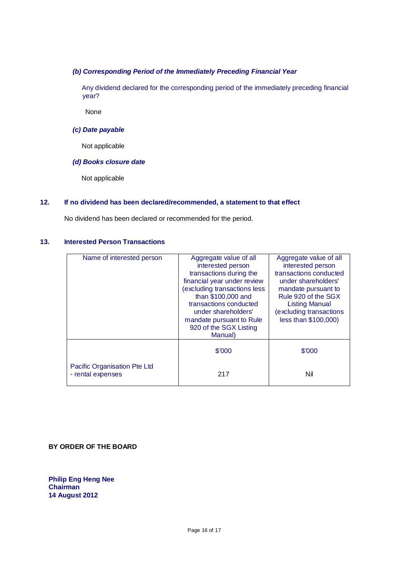## *(b) Corresponding Period of the Immediately Preceding Financial Year*

 Any dividend declared for the corresponding period of the immediately preceding financial year?

None

#### *(c) Date payable*

Not applicable

# *(d) Books closure date*

Not applicable

# **12. If no dividend has been declared/recommended, a statement to that effect**

No dividend has been declared or recommended for the period.

# **13. Interested Person Transactions**

| Name of interested person                         | Aggregate value of all<br>interested person<br>transactions during the<br>financial year under review<br>(excluding transactions less<br>than \$100,000 and<br>transactions conducted<br>under shareholders'<br>mandate pursuant to Rule<br>920 of the SGX Listing<br>Manual) | Aggregate value of all<br>interested person<br>transactions conducted<br>under shareholders'<br>mandate pursuant to<br>Rule 920 of the SGX<br><b>Listing Manual</b><br>(excluding transactions<br>less than \$100,000) |
|---------------------------------------------------|-------------------------------------------------------------------------------------------------------------------------------------------------------------------------------------------------------------------------------------------------------------------------------|------------------------------------------------------------------------------------------------------------------------------------------------------------------------------------------------------------------------|
|                                                   | \$'000                                                                                                                                                                                                                                                                        | \$'000                                                                                                                                                                                                                 |
| Pacific Organisation Pte Ltd<br>- rental expenses | 217                                                                                                                                                                                                                                                                           | Nil                                                                                                                                                                                                                    |

# **BY ORDER OF THE BOARD**

**Philip Eng Heng Nee Chairman 14 August 2012**